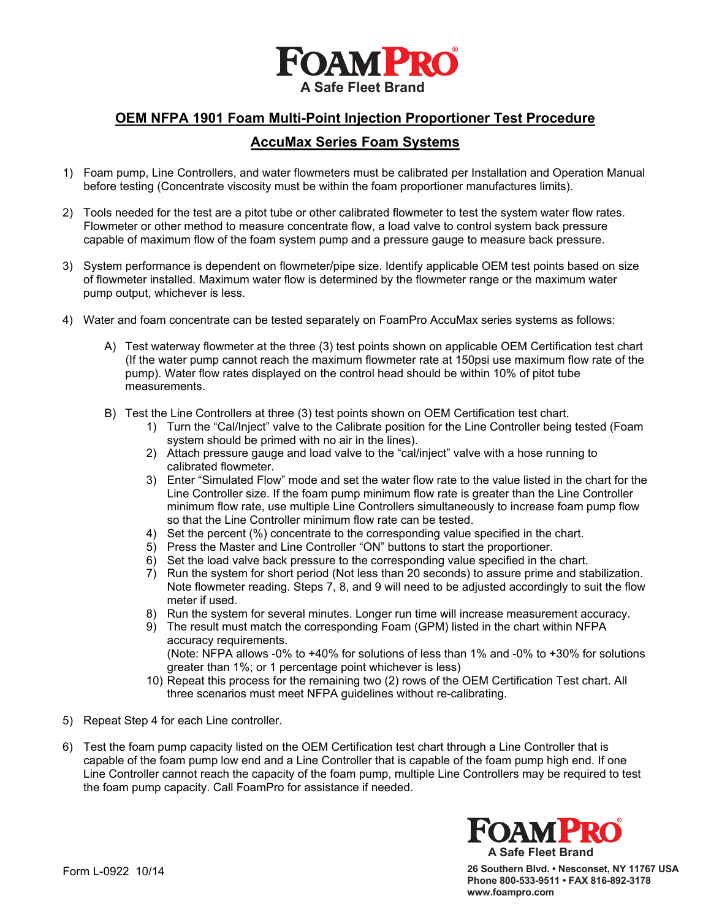

# **OEM NFPA 1901 Foam Multi-Point Injection Proportioner Test Procedure**

## **AccuMax Series Foam Systems**

- 1) Foam pump, Line Controllers, and water flowmeters must be calibrated per Installation and Operation Manual before testing (Concentrate viscosity must be within the foam proportioner manufactures limits).
- 2) Tools needed for the test are a pitot tube or other calibrated flowmeter to test the system water flow rates. Flowmeter or other method to measure concentrate flow, a load valve to control system back pressure capable of maximum flow of the foam system pump and a pressure gauge to measure back pressure.
- 3) System performance is dependent on flowmeter/pipe size. Identify applicable OEM test points based on size of flowmeter installed. Maximum water flow is determined by the flowmeter range or the maximum water pump output, whichever is less.
- 4) Water and foam concentrate can be tested separately on FoamPro AccuMax series systems as follows:
	- A) Test waterway flowmeter at the three (3) test points shown on applicable OEM Certification test chart (If the water pump cannot reach the maximum flowmeter rate at 150psi use maximum flow rate of the pump). Water flow rates displayed on the control head should be within 10% of pitot tube measurements.
	- B) Test the Line Controllers at three (3) test points shown on OEM Certification test chart.
		- 1) Turn the "Cal/Inject" valve to the Calibrate position for the Line Controller being tested (Foam system should be primed with no air in the lines).
		- 2) Attach pressure gauge and load valve to the "cal/inject" valve with a hose running to calibrated flowmeter.
		- 3) Enter "Simulated Flow" mode and set the water flow rate to the value listed in the chart for the Line Controller size. If the foam pump minimum flow rate is greater than the Line Controller minimum flow rate, use multiple Line Controllers simultaneously to increase foam pump flow so that the Line Controller minimum flow rate can be tested.
		- 4) Set the percent (%) concentrate to the corresponding value specified in the chart.
		- 5) Press the Master and Line Controller "ON" buttons to start the proportioner.
		- 6) Set the load valve back pressure to the corresponding value specified in the chart.
		- 7) Run the system for short period (Not less than 20 seconds) to assure prime and stabilization. Note flowmeter reading. Steps 7, 8, and 9 will need to be adjusted accordingly to suit the flow meter if used.
		- 8) Run the system for several minutes. Longer run time will increase measurement accuracy.
		- 9) The result must match the corresponding Foam (GPM) listed in the chart within NFPA accuracy requirements. (Note: NFPA allows -0% to +40% for solutions of less than 1% and -0% to +30% for solutions greater than 1%; or 1 percentage point whichever is less)
		- 10) Repeat this process for the remaining two (2) rows of the OEM Certification Test chart. All three scenarios must meet NFPA guidelines without re-calibrating.
- 5) Repeat Step 4 for each Line controller.
- 6) Test the foam pump capacity listed on the OEM Certification test chart through a Line Controller that is capable of the foam pump low end and a Line Controller that is capable of the foam pump high end. If one Line Controller cannot reach the capacity of the foam pump, multiple Line Controllers may be required to test the foam pump capacity. Call FoamPro for assistance if needed.